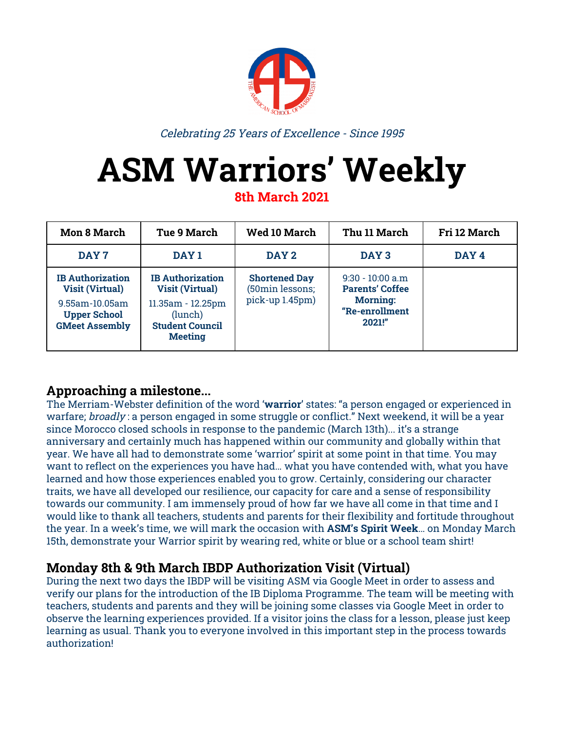

Celebrating 25 Years of Excellence - Since 1995

# **ASM Warriors' Weekly**

**8th March 2021**

| <b>Mon 8 March</b>                                                                                                  | <b>Tue 9 March</b>                                                                                                            | <b>Wed 10 March</b>                                        | Thu 11 March                                                                                | Fri 12 March |
|---------------------------------------------------------------------------------------------------------------------|-------------------------------------------------------------------------------------------------------------------------------|------------------------------------------------------------|---------------------------------------------------------------------------------------------|--------------|
| DAY 7                                                                                                               | DAY <sub>1</sub>                                                                                                              | DAY 2                                                      | DAY <sub>3</sub>                                                                            | DAY 4        |
| <b>IB Authorization</b><br><b>Visit (Virtual)</b><br>9.55am-10.05am<br><b>Upper School</b><br><b>GMeet Assembly</b> | <b>IB</b> Authorization<br><b>Visit (Virtual)</b><br>11.35am - 12.25pm<br>(lunch)<br><b>Student Council</b><br><b>Meeting</b> | <b>Shortened Day</b><br>(50min lessons;<br>pick-up 1.45pm) | $9:30 - 10:00$ a.m<br><b>Parents' Coffee</b><br><b>Morning:</b><br>"Re-enrollment<br>2021!" |              |

# **Approaching a milestone...**

The Merriam-Webster definition of the word '**warrior**' states: "a person engaged or experienced in warfare; broadly : a person engaged in some struggle or conflict." Next weekend, it will be a year since Morocco closed schools in response to the pandemic (March 13th)... it's a strange anniversary and certainly much has happened within our community and globally within that year. We have all had to demonstrate some 'warrior' spirit at some point in that time. You may want to reflect on the experiences you have had… what you have contended with, what you have learned and how those experiences enabled you to grow. Certainly, considering our character traits, we have all developed our resilience, our capacity for care and a sense of responsibility towards our community. I am immensely proud of how far we have all come in that time and I would like to thank all teachers, students and parents for their flexibility and fortitude throughout the year. In a week's time, we will mark the occasion with **ASM's Spirit Week**… on Monday March 15th, demonstrate your Warrior spirit by wearing red, white or blue or a school team shirt!

# **Monday 8th & 9th March IBDP Authorization Visit (Virtual)**

During the next two days the IBDP will be visiting ASM via Google Meet in order to assess and verify our plans for the introduction of the IB Diploma Programme. The team will be meeting with teachers, students and parents and they will be joining some classes via Google Meet in order to observe the learning experiences provided. If a visitor joins the class for a lesson, please just keep learning as usual. Thank you to everyone involved in this important step in the process towards authorization!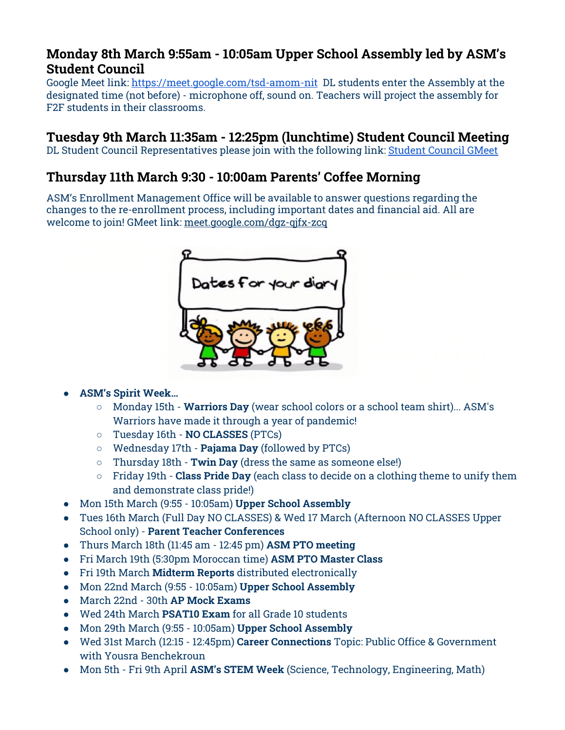## **Monday 8th March 9:55am - 10:05am Upper School Assembly led by ASM's Student Council**

Google Meet link: <https://meet.google.com/tsd-amom-nit> DL students enter the Assembly at the designated time (not before) - microphone off, sound on. Teachers will project the assembly for F2F students in their classrooms.

## **Tuesday 9th March 11:35am - 12:25pm (lunchtime) Student Council Meeting**

DL Student Council Representatives please join with the following link: [Student](https://meet.google.com/tqs-pozb-yav) Council GMeet

# **Thursday 11th March 9:30 - 10:00am Parents' Coffee Morning**

ASM's Enrollment Management Office will be available to answer questions regarding the changes to the re-enrollment process, including important dates and financial aid. All are welcome to join! GMeet link: [meet.google.com/dgz-qjfx-zcq](https://asm.us1.list-manage.com/track/click?u=74bb2324d2e0906d1a67beca0&id=4d7c05a7fb&e=95d744d120)



### **● ASM's Spirit Week…**

- Monday 15th **Warriors Day** (wear school colors or a school team shirt)... ASM's Warriors have made it through a year of pandemic!
- Tuesday 16th **NO CLASSES** (PTCs)
- Wednesday 17th **Pajama Day** (followed by PTCs)
- Thursday 18th **Twin Day** (dress the same as someone else!)
- Friday 19th **Class Pride Day** (each class to decide on a clothing theme to unify them and demonstrate class pride!)
- **●** Mon 15th March (9:55 10:05am) **Upper School Assembly**
- Tues 16th March (Full Day NO CLASSES) & Wed 17 March (Afternoon NO CLASSES Upper School only) - **Parent Teacher Conferences**
- **●** Thurs March 18th (11:45 am 12:45 pm) **ASM PTO meeting**
- **●** Fri March 19th (5:30pm Moroccan time) **ASM PTO Master Class**
- **●** Fri 19th March **Midterm Reports** distributed electronically
- Mon 22nd March (9:55 10:05am) **Upper School Assembly**
- **●** March 22nd 30th **AP Mock Exams**
- **●** Wed 24th March **PSAT10 Exam** for all Grade 10 students
- Mon 29th March (9:55 10:05am) **Upper School Assembly**
- **●** Wed 31st March (12:15 12:45pm) **Career Connections** Topic: Public Office & Government with Yousra Benchekroun
- Mon 5th Fri 9th April **ASM's STEM Week** (Science, Technology, Engineering, Math)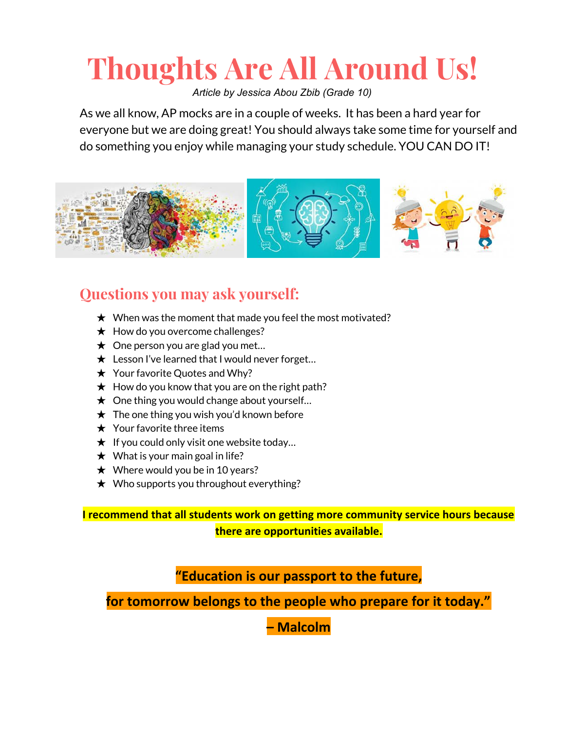# **Thoughts Are All Around Us!**

*Article by Jessica Abou Zbib (Grade 10)*

As we all know, AP mocks are in a couple of weeks. It has been a hard year for everyone but we are doing great! You should always take some time for yourself and do something you enjoy while managing your study schedule. YOU CAN DO IT!



# **Questions you may ask yourself:**

- $\star$  When was the moment that made you feel the most motivated?
- $\star$  How do you overcome challenges?
- $\star$  One person you are glad you met...
- $\star$  Lesson I've learned that I would never forget...
- ★ Your favorite Quotes and Why?
- $\star$  How do you know that you are on the right path?
- $\star$  One thing you would change about yourself...
- $\star$  The one thing you wish you'd known before
- $\star$  Your favorite three items
- $\star$  If you could only visit one website today...
- $\star$  What is your main goal in life?
- $\star$  Where would you be in 10 years?
- $\star$  Who supports you throughout everything?

**I recommend that all students work on getting more community service hours because there are opportunities available.**

**"Education is our passport to the future,**

**for tomorrow belongs to the people who prepare for it today."**

**– Malcolm**